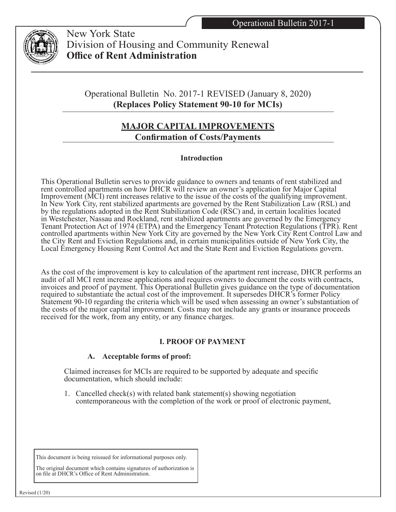

 New York State Division of Housing and Community Renewal **Office of Rent Administration**

Operational Bulletin No. 2017-1 REVISED (January 8, 2020) **(Replaces Policy Statement 90-10 for MCIs)**

# **MAJOR CAPITAL IMPROVEMENTS Confirmation of Costs/Payments**

## **Introduction**

This Operational Bulletin serves to provide guidance to owners and tenants of rent stabilized and rent controlled apartments on how DHCR will review an owner's application for Major Capital Improvement (MCI) rent increases relative to the issue of the costs of the qualifying improvement. In New York City, rent stabilized apartments are governed by the Rent Stabilization Law (RSL) and by the regulations adopted in the Rent Stabilization Code (RSC) and, in certain localities located in Westchester, Nassau and Rockland, rent stabilized apartments are governed by the Emergency Tenant Protection Act of 1974 (ETPA) and the Emergency Tenant Protection Regulations (TPR). Rent controlled apartments within New York City are governed by the New York City Rent Control Law and the City Rent and Eviction Regulations and, in certain municipalities outside of New York City, the Local Emergency Housing Rent Control Act and the State Rent and Eviction Regulations govern.

As the cost of the improvement is key to calculation of the apartment rent increase, DHCR performs an audit of all MCI rent increase applications and requires owners to document the costs with contracts, invoices and proof of payment. This Operational Bulletin gives guidance on the type of documentation required to substantiate the actual cost of the improvement. It supersedes DHCR's former Policy Statement 90-10 regarding the criteria which will be used when assessing an owner's substantiation of the costs of the major capital improvement. Costs may not include any grants or insurance proceeds received for the work, from any entity, or any finance charges.

## **I. PROOF OF PAYMENT**

## **A. Acceptable forms of proof:**

Claimed increases for MCIs are required to be supported by adequate and specific documentation, which should include:

1. Cancelled check(s) with related bank statement(s) showing negotiation contemporaneous with the completion of the work or proof of electronic payment,

This document is being reissued for informational purposes only.

The original document which contains signatures of authorization is on file at DHCR's Office of Rent Administration.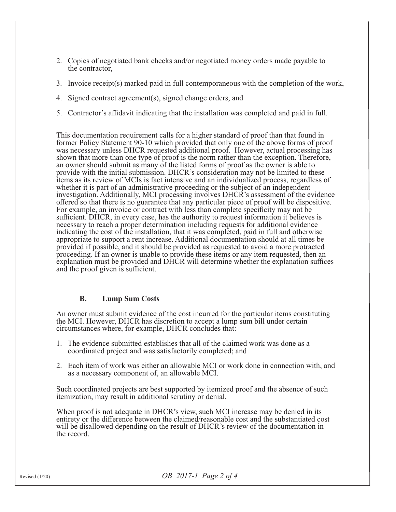- 2. Copies of negotiated bank checks and/or negotiated money orders made payable to the contractor,
- 3. Invoice receipt(s) marked paid in full contemporaneous with the completion of the work,
- 4. Signed contract agreement(s), signed change orders, and
- 5. Contractor's affidavit indicating that the installation was completed and paid in full.

This documentation requirement calls for a higher standard of proof than that found in former Policy Statement 90-10 which provided that only one of the above forms of proof was necessary unless DHCR requested additional proof. However, actual processing has shown that more than one type of proof is the norm rather than the exception. Therefore, an owner should submit as many of the listed forms of proof as the owner is able to provide with the initial submission. DHCR's consideration may not be limited to these items as its review of MCIs is fact intensive and an individualized process, regardless of whether it is part of an administrative proceeding or the subject of an independent investigation. Additionally, MCI processing involves DHCR's assessment of the evidence offered so that there is no guarantee that any particular piece of proof will be dispositive. For example, an invoice or contract with less than complete specificity may not be sufficient. DHCR, in every case, has the authority to request information it believes is necessary to reach a proper determination including requests for additional evidence indicating the cost of the installation, that it was completed, paid in full and otherwise appropriate to support a rent increase. Additional documentation should at all times be provided if possible, and it should be provided as requested to avoid a more protracted proceeding. If an owner is unable to provide these items or any item requested, then an explanation must be provided and DHCR will determine whether the explanation suffices and the proof given is sufficient.

### **B. Lump Sum Costs**

An owner must submit evidence of the cost incurred for the particular items constituting the MCI. However, DHCR has discretion to accept a lump sum bill under certain circumstances where, for example, DHCR concludes that:

- 1. The evidence submitted establishes that all of the claimed work was done as a coordinated project and was satisfactorily completed; and
- 2. Each item of work was either an allowable MCI or work done in connection with, and as a necessary component of, an allowable MCI.

Such coordinated projects are best supported by itemized proof and the absence of such itemization, may result in additional scrutiny or denial.

When proof is not adequate in DHCR's view, such MCI increase may be denied in its entirety or the difference between the claimed/reasonable cost and the substantiated cost will be disallowed depending on the result of DHCR's review of the documentation in the record.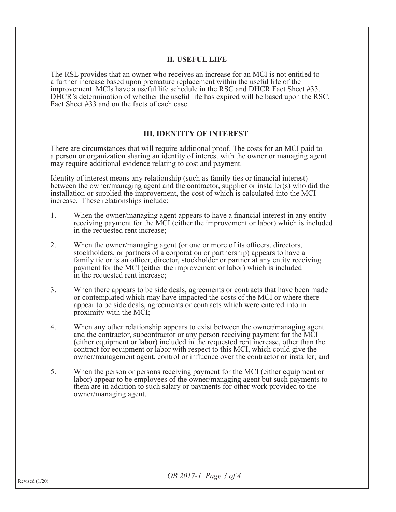#### **II. USEFUL LIFE**

The RSL provides that an owner who receives an increase for an MCI is not entitled to a further increase based upon premature replacement within the useful life of the improvement. MCIs have a useful life schedule in the RSC and DHCR Fact Sheet #33. DHCR's determination of whether the useful life has expired will be based upon the RSC, Fact Sheet #33 and on the facts of each case.

#### **III. IDENTITY OF INTEREST**

There are circumstances that will require additional proof. The costs for an MCI paid to a person or organization sharing an identity of interest with the owner or managing agent may require additional evidence relating to cost and payment.

Identity of interest means any relationship (such as family ties or financial interest) between the owner/managing agent and the contractor, supplier or installer(s) who did the installation or supplied the improvement, the cost of which is calculated into the MCI increase. These relationships include:

- 1. When the owner/managing agent appears to have a financial interest in any entity receiving payment for the MCI (either the improvement or labor) which is included in the requested rent increase;
- 2. When the owner/managing agent (or one or more of its officers, directors, stockholders, or partners of a corporation or partnership) appears to have a family tie or is an officer, director, stockholder or partner at any entity receiving payment for the MCI (either the improvement or labor) which is included in the requested rent increase;
- 3. When there appears to be side deals, agreements or contracts that have been made<br>or contemplated which may have impacted the costs of the MCI or where there<br>appear to be side deals, agreements or contracts which were en
- 4. When any other relationship appears to exist between the owner/managing agent<br>and the contractor, subcontractor or any person receiving payment for the MCI<br>(either equipment or labor) included in the requested rent incr owner/management agent, control or influence over the contractor or installer; and
- 5. When the person or persons receiving payment for the MCI (either equipment or labor) appear to be employees of the owner/managing agent but such payments to them are in addition to such salary or payments for other work